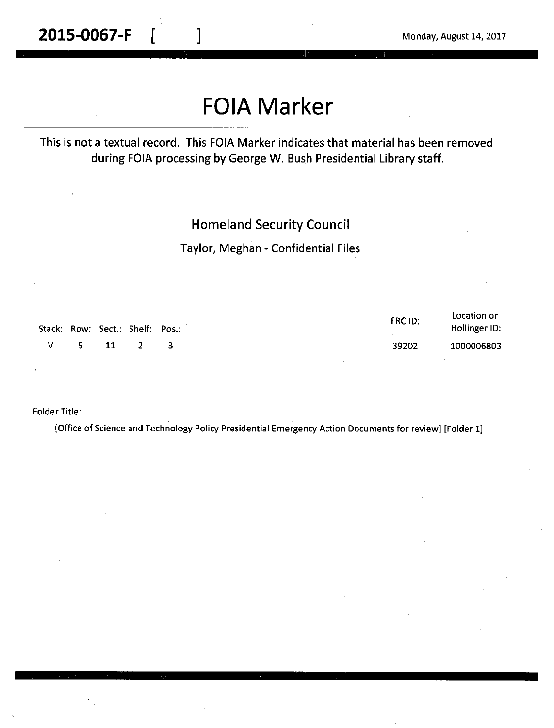**2015-0067-F**  $\begin{bmatrix} 1 & 1 \end{bmatrix}$  Monday, August 14, 2017

# **FOIA Marker**

This is not a textual record. This FOIA Marker indicates that material has been removed during FOIA processing by George W. Bush Presidential Library staff.

### Homeland Security Council

Taylor, Meghan - Confidential Files

| Stack: Row: Sect.: Shelf: Pos.: |      |  | FRC ID: | Location or<br>Hollinger ID: |
|---------------------------------|------|--|---------|------------------------------|
| V.                              | 5 11 |  | 39202   | 1000006803                   |

Folder Title:

[Office of Science and Technology Policy Presidential Emergency Action Documents for review] [Folder 1]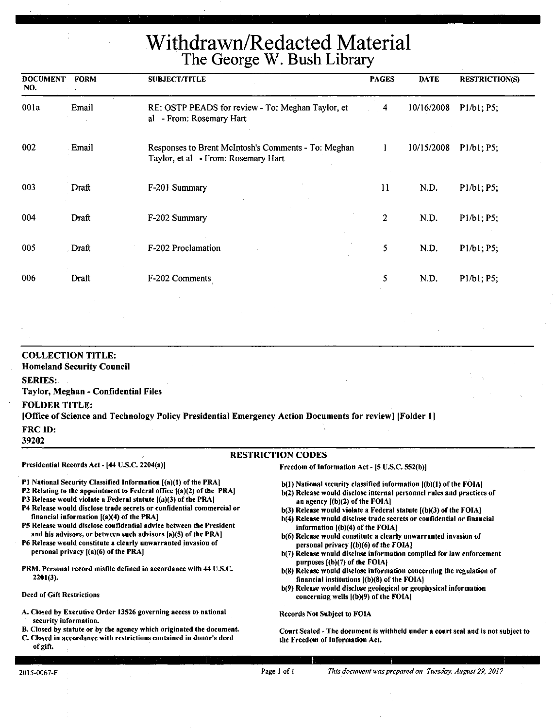Withdrawn/Redacted **Material**  The **George W. Bush Library** 

| <b>DOCUMENT</b><br>NO. | <b>FORM</b> | <b>SUBJECT/TITLE</b>                                                                       | <b>PAGES</b>   | <b>DATE</b> | <b>RESTRICTION(S)</b>                             |
|------------------------|-------------|--------------------------------------------------------------------------------------------|----------------|-------------|---------------------------------------------------|
| 001a                   | Email       | RE: OSTP PEADS for review - To: Meghan Taylor, et<br>al - From: Rosemary Hart              | 4              | 10/16/2008  | P1/b1; P5;                                        |
| 002                    | Email       | Responses to Brent McIntosh's Comments - To: Meghan<br>Taylor, et al - From: Rosemary Hart |                | 10/15/2008  | P1/b1; P5;                                        |
| 003                    | Draft       | F-201 Summary                                                                              | 11             | N.D.        | P1/b1; P5;                                        |
| 004                    | Draft       | F-202 Summary                                                                              | $\overline{2}$ | N.D.        | P <sub>1</sub> /b <sub>1</sub> ; P <sub>5</sub> ; |
| 005                    | Draft       | F-202 Proclamation                                                                         | 5              | N.D.        | P1/b1; P5;                                        |
| 006                    | Draft       | F-202 Comments                                                                             | 5              | N.D.        | P1/b1; P5;                                        |

#### COLLECTION TITLE: Homeland Security Council SERIES: Taylor, Meghan - Confidential Files FOLDER TITLE: I Office of Science and Technology Policy Presidential Emergency Action Documents for review] !Folder I] FRC ID: 39202

#### RESTRICTION CODES

Presidential Records Act - (44 U.S.C. 2204(a))

Freedom of Information Act - (S U.S.C. S52(b)]

Pl National Security Classified Information [(a)(l) of the PRA]

- P2 Relating to the appointment to Federal office  $[(a)(2)$  of the PRA]
- P3 Release would violate a Federal statute  $[(a)(3)$  of the PRA]
- P4 Release would disclose trade secrets or confidential commercial or financial information [(a)(4) of the PRA)
- PS Release would disclose confidential advice between the President and his advisors, or between such advisors (a)(S) of the PRAJ
- P6 Release would constitute a clearly unwarranted invasion of personal privacy [(a)(6) of the PRA]
- PRM. Personal record misfile defined in accordance with 44 U.S.C. 2201(3).

#### Deed of Gift Restrictions

- A. Closed by Executive Order 13526 governing access to national security information.
- B. Closed by statute or by the agency which originated the document.
- C. Closed in accordance with restrictions contained in donor's deed of gift.

b(1) National security classified information  $I(b)(1)$  of the FOIAl

- b(2) Release would disclose internal personnel rules and practices of an agency l(b)(2) of the **FOIA]**
- $b(3)$  Release would violate a Federal statute  $[(b)(3)$  of the FOIA]
- b(4) Release would disclose trade secrets or confidential or financial information  $[(b)(4)$  of the FOIA]
- b(6) Release would constitute a clearly unwarranted invasion of personal privacy l(b)(6) or the FOIA)
- b(7) Release would disclose information compiled for law enforcement purposes [(b)(7) of the FOIA]
- b(8) Release would disclose information concerning the regulation of financial institutions  $[(b)(8)$  of the FOIA}
- b(9) Release would disclose geological or geophysical information concerning wells ((b)(9) or the FOIA)

Records Not Subject to FOIA

Court Sealed~ The document is withheld under a court seal and is not subject to the Freedom of Information Act.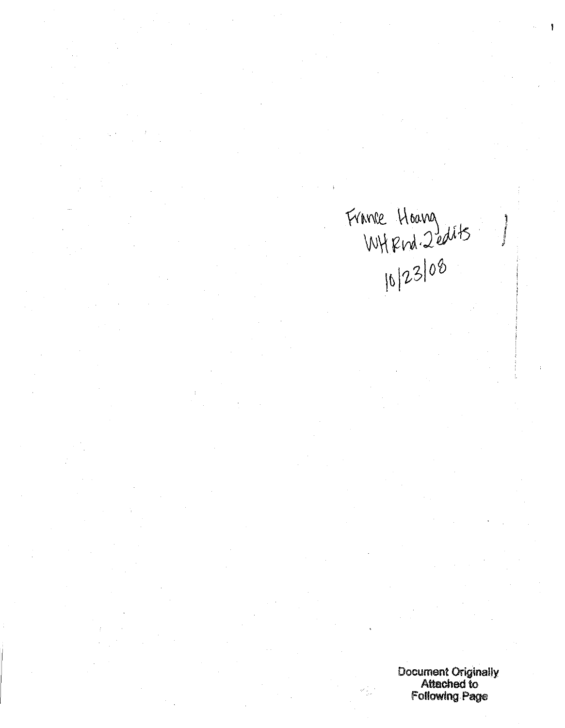France Hoavez<br>WHFmd. 2edits<br>10/23/08

j

Document Originally Attached to Following Page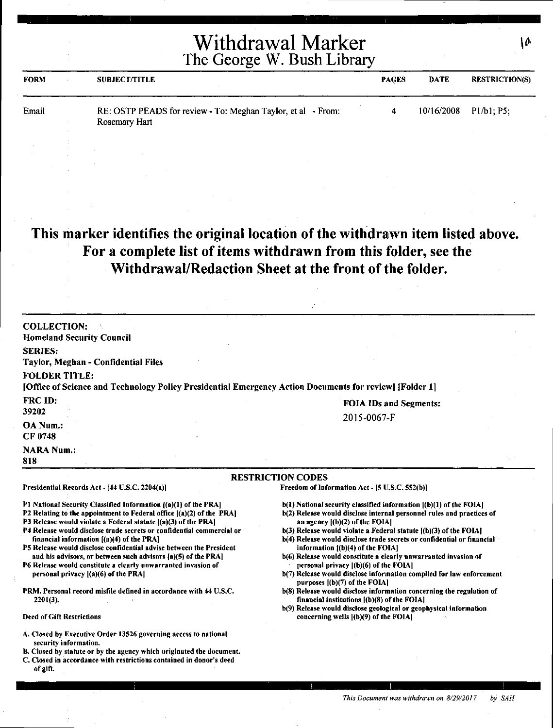| <b>FORM</b> | <b>SUBJECT/TITLE</b>                                                          | <b>PAGES</b> | DATE       | <b>RESTRICTION(S)</b> |
|-------------|-------------------------------------------------------------------------------|--------------|------------|-----------------------|
| Email       | RE: OSTP PEADS for review - To: Meghan Taylor, et al - From:<br>Rosemary Hart |              | 10/16/2008 | P1/b1, P5;            |

# **This marker identifies the original location of the withdrawn item listed above. For a complete list of items withdrawn from this folder, see the Withdrawal/Redaction Sheet at the front of the folder.**

| <b>COLLECTION:</b><br><b>Homeland Security Council</b><br><b>SERIES:</b><br>Taylor, Meghan - Confidential Files<br><b>FOLDER TITLE:</b><br>[Office of Science and Technology Policy Presidential Emergency Action Documents for review] [Folder 1]                                                                                                                                                                                                                                                                                                                                                                                                                                                                                                                                                                                                                                                                                                                |                                                                                                                                                                                                                                                                                                                                                                                                                                                                                                                                                                                                                                                                                                                                                                                                                                       |
|-------------------------------------------------------------------------------------------------------------------------------------------------------------------------------------------------------------------------------------------------------------------------------------------------------------------------------------------------------------------------------------------------------------------------------------------------------------------------------------------------------------------------------------------------------------------------------------------------------------------------------------------------------------------------------------------------------------------------------------------------------------------------------------------------------------------------------------------------------------------------------------------------------------------------------------------------------------------|---------------------------------------------------------------------------------------------------------------------------------------------------------------------------------------------------------------------------------------------------------------------------------------------------------------------------------------------------------------------------------------------------------------------------------------------------------------------------------------------------------------------------------------------------------------------------------------------------------------------------------------------------------------------------------------------------------------------------------------------------------------------------------------------------------------------------------------|
| FRC ID:<br>39202<br><b>OA Num.:</b><br>CF 0748                                                                                                                                                                                                                                                                                                                                                                                                                                                                                                                                                                                                                                                                                                                                                                                                                                                                                                                    | <b>FOIA IDs and Segments:</b><br>2015-0067-F                                                                                                                                                                                                                                                                                                                                                                                                                                                                                                                                                                                                                                                                                                                                                                                          |
| <b>NARA Num.:</b><br>818                                                                                                                                                                                                                                                                                                                                                                                                                                                                                                                                                                                                                                                                                                                                                                                                                                                                                                                                          |                                                                                                                                                                                                                                                                                                                                                                                                                                                                                                                                                                                                                                                                                                                                                                                                                                       |
| Presidential Records Act - [44 U.S.C. 2204(a)]                                                                                                                                                                                                                                                                                                                                                                                                                                                                                                                                                                                                                                                                                                                                                                                                                                                                                                                    | <b>RESTRICTION CODES</b><br>Freedom of Information Act - [5 U.S.C. 552(b)]                                                                                                                                                                                                                                                                                                                                                                                                                                                                                                                                                                                                                                                                                                                                                            |
| P1 National Security Classified Information ((a)(1) of the PRA]<br>P2 Relating to the appointment to Federal office $[(a)(2)$ of the PRA]<br>P3 Release would violate a Federal statute [(a)(3) of the PRA]<br>P4 Release would disclose trade secrets or confidential commercial or<br>financial information [(a)(4) of the PRA]<br>P5 Release would disclose confidential advise between the President<br>and his advisors, or between such advisors [a](5) of the PRA]<br>P6 Release would constitute a clearly unwarranted invasion of<br>personal privacy [(a)(6) of the PRA]<br>PRM. Personal record misfile defined in accordance with 44 U.S.C.<br>$2201(3)$ .<br><b>Deed of Gift Restrictions</b><br>A. Closed by Executive Order 13526 governing access to national<br>security information.<br>B. Closed by statute or by the agency which originated the document.<br>C. Closed in accordance with restrictions contained in donor's deed<br>of gift. | b(1) National security classified information [(b)(1) of the FOIA]<br>b(2) Release would disclose internal personnel rules and practices of<br>an agency $[(b)(2)$ of the FOIA]<br>$b(3)$ Release would violate a Federal statute $(6)(3)$ of the FOIA]<br>b(4) Release would disclose trade secrets or confidential or financial<br>information $(1)(4)$ of the FOIA]<br>b(6) Release would constitute a clearly unwarranted invasion of<br>personal privacy [(b)(6) of the FOIA]<br>b(7) Release would disclose information compiled for law enforcement<br>purposes $[(b)(7)$ of the FOIA]<br>b(8) Release would disclose information concerning the regulation of<br>financial institutions $[(b)(8)$ of the FOIA]<br>b(9) Release would disclose geological or geophysical information<br>concerning wells $ (b)(9)$ of the FOIA |

 $10$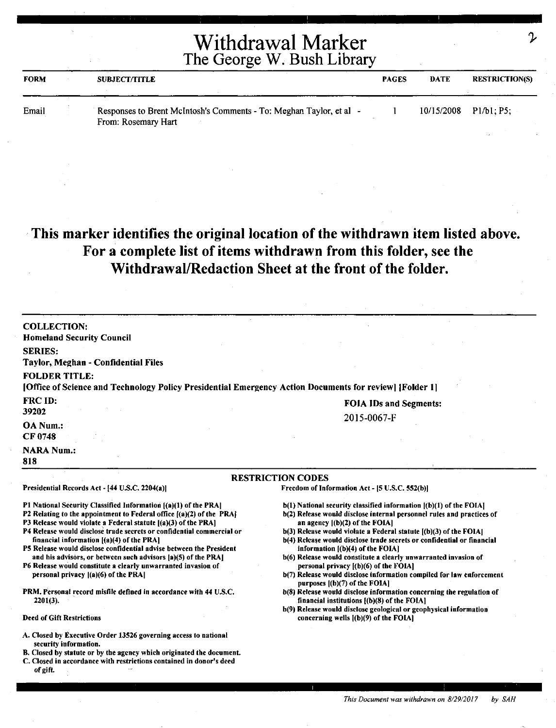| <b>FORM</b> | <b>SUBJECT/TITLE</b>                                                                     | <b>PAGES</b> | <b>DATE</b> | <b>RESTRICTION(S)</b>   |
|-------------|------------------------------------------------------------------------------------------|--------------|-------------|-------------------------|
| Email       | Responses to Brent McIntosh's Comments - To: Meghan Taylor, et al<br>From: Rosemary Hart |              |             | $10/15/2008$ Pl/b1; P5; |

# **This marker identifies the original location of the withdrawn item listed above. For a complete list of items withdrawn from this folder, see the Withdrawal/Redaction Sheet at the front of the folder.**

| <b>COLLECTION:</b>                                                                                                                          |                                                                                                                    |
|---------------------------------------------------------------------------------------------------------------------------------------------|--------------------------------------------------------------------------------------------------------------------|
| <b>Homeland Security Council</b>                                                                                                            |                                                                                                                    |
| <b>SERIES:</b>                                                                                                                              |                                                                                                                    |
| Taylor, Meghan - Confidential Files                                                                                                         |                                                                                                                    |
| <b>FOLDER TITLE:</b>                                                                                                                        |                                                                                                                    |
| [Office of Science and Technology Policy Presidential Emergency Action Documents for review] [Folder 1]                                     |                                                                                                                    |
|                                                                                                                                             |                                                                                                                    |
| FRC ID:                                                                                                                                     | <b>FOIA IDs and Segments:</b>                                                                                      |
| 39202                                                                                                                                       | 2015-0067-F                                                                                                        |
| OA Num.:                                                                                                                                    |                                                                                                                    |
| CF 0748                                                                                                                                     |                                                                                                                    |
| <b>NARA Num.:</b>                                                                                                                           |                                                                                                                    |
| 818                                                                                                                                         |                                                                                                                    |
|                                                                                                                                             | <b>RESTRICTION CODES</b>                                                                                           |
| Presidential Records Act - [44 U.S.C. 2204(a)]                                                                                              | Freedom of Information Act - [5 U.S.C. 552(b)]                                                                     |
|                                                                                                                                             |                                                                                                                    |
| P1 National Security Classified Information [(a)(1) of the PRA]                                                                             | b(1) National security classified information [(b)(1) of the FOIA]                                                 |
| P2 Relating to the appointment to Federal office ((a)(2) of the PRA)                                                                        | b(2) Release would disclose internal personnel rules and practices of                                              |
| P3 Release would violate a Federal statute [(a)(3) of the PRA]<br>P4 Release would disclose trade secrets or confidential commercial or     | an agency $[(b)(2)$ of the FOIA]<br>$b(3)$ Release would violate a Federal statute $(6)(3)$ of the FOIA.           |
| financial information $[(a)(4)$ of the PRA]                                                                                                 | b(4) Release would disclose trade secrets or confidential or financial                                             |
| P5 Release would disclose confidential advise between the President                                                                         | information $[(b)(4)$ of the FOIA]                                                                                 |
| and his advisors, or between such advisors [a](5) of the PRA]                                                                               | b(6) Release would constitute a clearly unwarranted invasion of                                                    |
| P6 Release would constitute a clearly unwarranted invasion of<br>personal privacy [(a)(6) of the PRA]                                       | personal privacy $(6)(6)$ of the FOIA<br>b(7) Release would disclose information compiled for law enforcement      |
|                                                                                                                                             | purposes $(6)(7)$ of the FOIA]                                                                                     |
| PRM, Personal record misfile defined in accordance with 44 U.S.C.                                                                           | b(8) Release would disclose information concerning the regulation of                                               |
| $2201(3)$ .                                                                                                                                 | financial institutions $[(b)(8)$ of the FOIA]<br>b(9) Release would disclose geological or geophysical information |
| <b>Deed of Gift Restrictions</b>                                                                                                            | concerning wells [(b)(9) of the FOIA]                                                                              |
| A. Closed by Executive Order 13526 governing access to national                                                                             |                                                                                                                    |
| security information.                                                                                                                       |                                                                                                                    |
| B. Closed by statute or by the agency which originated the document.<br>C. Closed in accordance with restrictions contained in donor's deed |                                                                                                                    |
| of gift.                                                                                                                                    |                                                                                                                    |

 $\mathcal{L}$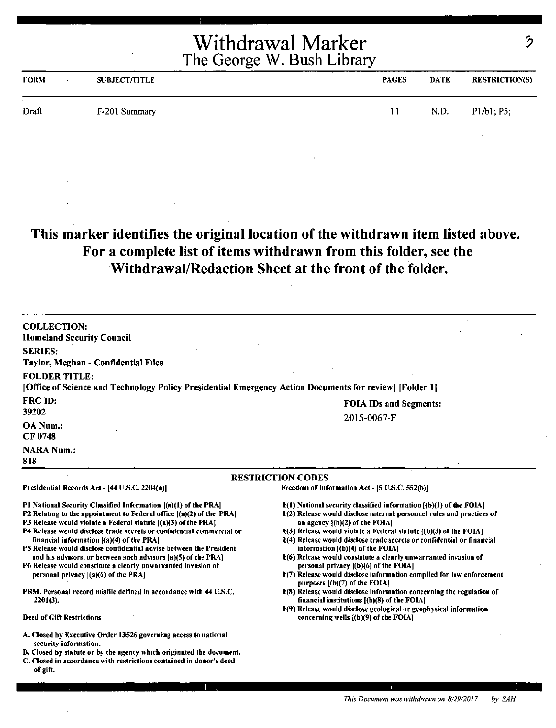| <b>FORM</b> | <b>SUBJECT/TITLE</b> | <b>PAGES</b> | <b>DATE</b> | <b>RESTRICTION(S)</b> |
|-------------|----------------------|--------------|-------------|-----------------------|
| Draft       | F-201 Summary        | 11           | N.D.        | P1/b1; P5;            |
|             |                      |              |             |                       |

# **This marker identifies the original location of the withdrawn item listed above. For a complete list of items withdrawn from this folder, see the Withdrawal/Redaction Sheet at the front of the folder.**

| <b>COLLECTION:</b>                                                                                               |                                                                                                                     |  |  |  |  |  |  |
|------------------------------------------------------------------------------------------------------------------|---------------------------------------------------------------------------------------------------------------------|--|--|--|--|--|--|
| <b>Homeland Security Council</b>                                                                                 |                                                                                                                     |  |  |  |  |  |  |
| <b>SERIES:</b>                                                                                                   |                                                                                                                     |  |  |  |  |  |  |
| Taylor, Meghan - Confidential Files                                                                              |                                                                                                                     |  |  |  |  |  |  |
| <b>FOLDER TITLE:</b>                                                                                             |                                                                                                                     |  |  |  |  |  |  |
| [Office of Science and Technology Policy Presidential Emergency Action Documents for review] [Folder 1]          |                                                                                                                     |  |  |  |  |  |  |
| FRC ID:                                                                                                          |                                                                                                                     |  |  |  |  |  |  |
| 39202                                                                                                            | <b>FOIA IDs and Segments:</b>                                                                                       |  |  |  |  |  |  |
| OA Num.:                                                                                                         | 2015-0067-F                                                                                                         |  |  |  |  |  |  |
| CF 0748                                                                                                          |                                                                                                                     |  |  |  |  |  |  |
|                                                                                                                  |                                                                                                                     |  |  |  |  |  |  |
| <b>NARA Num.:</b>                                                                                                |                                                                                                                     |  |  |  |  |  |  |
| 818                                                                                                              |                                                                                                                     |  |  |  |  |  |  |
|                                                                                                                  | <b>RESTRICTION CODES</b>                                                                                            |  |  |  |  |  |  |
| Presidential Records Act - [44 U.S.C. 2204(a)]                                                                   | Freedom of Information Act - [5 U.S.C. 552(b)]                                                                      |  |  |  |  |  |  |
| P1 National Security Classified Information [(a)(1) of the PRA]                                                  | $b(1)$ National security classified information $(a)(1)$ of the FOIA]                                               |  |  |  |  |  |  |
| P2 Relating to the appointment to Federal office [(a)(2) of the PRA]                                             | b(2) Release would disclose internal personnel rules and practices of                                               |  |  |  |  |  |  |
| P3 Release would violate a Federal statute $[(a)(3)$ of the PRA $]$                                              | an agency $\{(\mathbf{b})(2)$ of the FOIA]                                                                          |  |  |  |  |  |  |
| P4 Release would disclose trade secrets or confidential commercial or                                            | $b(3)$ Release would violate a Federal statute $(6)(3)$ of the FOIA]                                                |  |  |  |  |  |  |
| financial information [(a)(4) of the PRA]<br>P5 Release would disclose confidential advise between the President | b(4) Release would disclose trade secrets or confidential or financial<br>information [(b)(4) of the FOIA]          |  |  |  |  |  |  |
| and his advisors, or between such advisors [a](5) of the PRA]                                                    | b(6) Release would constitute a clearly unwarranted invasion of                                                     |  |  |  |  |  |  |
| P6 Release would constitute a clearly unwarranted invasion of                                                    | personal privacy [(b)(6) of the FOIA]                                                                               |  |  |  |  |  |  |
| personal privacy $[(a)(6)$ of the PRA]                                                                           | b(7) Release would disclose information compiled for law enforcement<br>purposes [(b)(7) of the FOIA]               |  |  |  |  |  |  |
| PRM. Personal record misfile defined in accordance with 44 U.S.C.<br>$2201(3)$ .                                 | b(8) Release would disclose information concerning the regulation of<br>financial institutions [(b)(8) of the FOIA] |  |  |  |  |  |  |
|                                                                                                                  | b(9) Release would disclose geological or geophysical information                                                   |  |  |  |  |  |  |
| <b>Deed of Gift Restrictions</b>                                                                                 | concerning wells $(6)(9)$ of the FOIA]                                                                              |  |  |  |  |  |  |
| A. Closed by Executive Order 13526 governing access to national                                                  |                                                                                                                     |  |  |  |  |  |  |
| security information.<br>B. Closed by statute or by the agency which originated the document.                    |                                                                                                                     |  |  |  |  |  |  |
| C. Closed in accordance with restrictions contained in donor's deed<br>of gift.                                  |                                                                                                                     |  |  |  |  |  |  |
|                                                                                                                  |                                                                                                                     |  |  |  |  |  |  |

 $\mathcal{D}$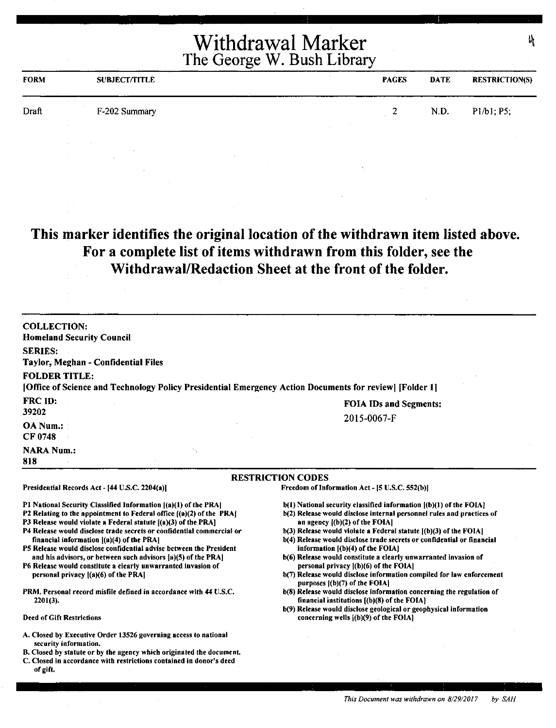| <b>FORM</b>     | <b>SUBJECT/TITLE</b>              | <b>PAGES</b> | <b>DATE</b> | <b>RESTRICTION(S)</b> |
|-----------------|-----------------------------------|--------------|-------------|-----------------------|
| $\sim$<br>Draft | <b>Carl Carl</b><br>F-202 Summary | 2            | N.D.        | P1/b1; P5;            |
|                 |                                   |              |             |                       |

**This marker identifies the original location of the withdrawn item listed above. For a complete list of items withdrawn from this folder, see the Withdrawal/Redaction Sheet at the front of the folder.** 

| <b>COLLECTION:</b>                                                                                      |                               |
|---------------------------------------------------------------------------------------------------------|-------------------------------|
| <b>Homeland Security Council</b>                                                                        |                               |
| <b>SERIES:</b>                                                                                          |                               |
| Taylor, Meghan - Confidential Files                                                                     |                               |
| <b>FOLDER TITLE:</b>                                                                                    |                               |
| [Office of Science and Technology Policy Presidential Emergency Action Documents for review] [Folder 1] |                               |
| <b>FRC ID:</b>                                                                                          | <b>FOIA IDs and Segments:</b> |
| 39202                                                                                                   | 2015-0067-F                   |
| OA Num.:                                                                                                |                               |
| CF 0748                                                                                                 |                               |
| <b>NARA Num.:</b>                                                                                       |                               |
| 818                                                                                                     |                               |
|                                                                                                         |                               |

Presidential Records Act - [44 U.S.C. 2204(a)]

financial information ((a)(4) of the PRAJ

personal privacy  $[(a)(6)$  of the PRA $]$ 

2201(3).

Deed of Gift Restrictions

### RESTRICTION CODES

Freedom of Information Act - [5 U.S.C. 552(b)]

- b(l) National security classified information ((b)(l) of the FOIA]
- b(2) Release would disclose internal personnel rules and practices of an agency l(b)(2) of the FOIAJ
- b(3) Release would violate a Federal statute [(b)(3) of the FOIA]
- b(4) Release would disclose trade secrets or confidential or financial information  $[(b)(4)$  of the FOIA]
- b(6) Release would constitute a clearly unwarranted invasion of personal privacy ((b)(6) of the FOIA)
- b(7) Release would disclose information compiled for law enforcement purposes  $[(b)(7)$  of the FOIA]
- b(8) Release would disclose information concerning the regulation of financial institutions  $[(b)(8)$  of the FOIA]
- b(9) Release would disclose geological or geophysical information concerning wells ((b)(9) of the FOIA]
- A. Closed by Executive Order 13526 governing access to national security information.

Pl National Security Classified Information [(a)(l) of the PRAJ P2 Relating to the appointment to Federal office ((a)(2) of the PRA] P3 Release would violate a Federal statute  $[(a)(3)$  of the PRA] P4 Release would disclose trade secrets or confidential commercial or

PS Release would disclose confidential advise between the President and his advisors, or between such advisors fa)(S) of the PRA] P6 Release would constitute a clearly unwarranted invasion of

PRM. Personal record misfile defined in accordance with 44 U.S.C.

- B. Closed by statute or by the agency which originated the document.
- C. Closed in accordance with restrictions contained in donor's deed of gift.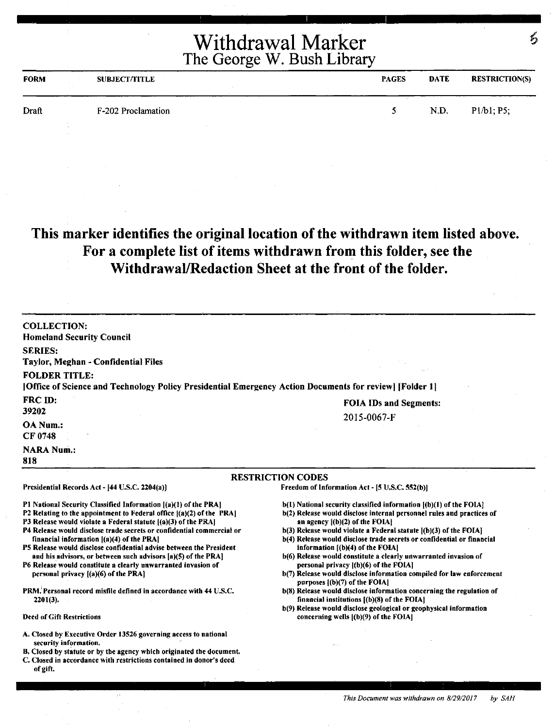| <b>FORM</b> | <b>SUBJECT/TITLE</b> | <b>PAGES</b> | <b>DATE</b> | <b>RESTRICTION(S)</b> |
|-------------|----------------------|--------------|-------------|-----------------------|
| Draft       | F-202 Proclamation   |              | N.D.        | P1/b1; P5;            |

# **This marker identifies the original location of the withdrawn item listed above. For a complete list of items withdrawn from this folder, see the Withdrawal/Redaction Sheet at the front of the folder.**

| <b>COLLECTION:</b>                                                                                                |                                                                                                              |
|-------------------------------------------------------------------------------------------------------------------|--------------------------------------------------------------------------------------------------------------|
| <b>Homeland Security Council</b>                                                                                  |                                                                                                              |
| <b>SERIES:</b>                                                                                                    |                                                                                                              |
| Taylor, Meghan - Confidential Files                                                                               |                                                                                                              |
| <b>FOLDER TITLE:</b>                                                                                              |                                                                                                              |
| [Office of Science and Technology Policy Presidential Emergency Action Documents for review] [Folder 1]           |                                                                                                              |
| FRC ID:                                                                                                           |                                                                                                              |
| 39202                                                                                                             | <b>FOIA IDs and Segments:</b>                                                                                |
| <b>OA Num.:</b>                                                                                                   | 2015-0067-F                                                                                                  |
| <b>CF 0748</b>                                                                                                    |                                                                                                              |
|                                                                                                                   |                                                                                                              |
| <b>NARA Num.:</b><br>818                                                                                          |                                                                                                              |
|                                                                                                                   | <b>RESTRICTION CODES</b>                                                                                     |
| Presidential Records Act - [44 U.S.C. 2204(a)]                                                                    | Freedom of Information Act - [5 U.S.C. 552(b)]                                                               |
| P1 National Security Classified Information [(a)(1) of the PRA]                                                   | $b(1)$ National security classified information $(a)(1)$ of the FOIA]                                        |
| P2 Relating to the appointment to Federal office [(a)(2) of the PRA]                                              | b(2) Release would disclose internal personnel rules and practices of                                        |
| P3 Release would violate a Federal statute [(a)(3) of the PRA]                                                    | an agency $[(b)(2)$ of the FOIA}                                                                             |
| P4 Release would disclose trade secrets or confidential commercial or                                             | b(3) Release would violate a Federal statute [(b)(3) of the FOIA]                                            |
| financial information $[(a)(4)$ of the PRA<br>P5 Release would disclose confidential advise between the President | b(4) Release would disclose trade secrets or confidential or financial<br>information $[(b)(4)$ of the FOIA] |
| and his advisors, or between such advisors [a](5) of the PRA]                                                     | b(6) Release would constitute a clearly unwarranted invasion of                                              |
| P6 Release would constitute a clearly unwarranted invasion of                                                     | personal privacy $ (b)(6)$ of the FOIA]                                                                      |
| personal privacy [(a)(6) of the PRA]                                                                              | b(7) Release would disclose information compiled for law enforcement                                         |
| PRM, Personal record misfile defined in accordance with 44 U.S.C.                                                 | purposes $($ (b) $(7)$ of the FOIA]<br>b(8) Release would disclose information concerning the regulation of  |
| $2201(3)$ .                                                                                                       | financial institutions $(6)(8)$ of the FOIA]                                                                 |
|                                                                                                                   | b(9) Release would disclose geological or geophysical information                                            |
| <b>Deed of Gift Restrictions</b>                                                                                  | concerning wells [(b)(9) of the FOIA]                                                                        |
| A. Closed by Executive Order 13526 governing access to national                                                   |                                                                                                              |
| security information.                                                                                             |                                                                                                              |
| B. Closed by statute or by the agency which originated the document.                                              |                                                                                                              |
| C. Closed in accordance with restrictions contained in donor's deed<br>of gift.                                   |                                                                                                              |

G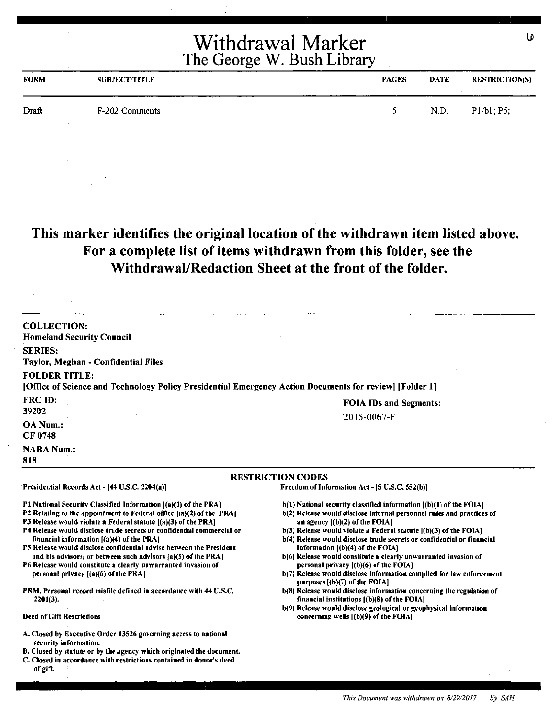| <b>FORM</b> | <b>SUBJECT/TITLE</b> | <b>PAGES</b> | <b>DATE</b> | <b>RESTRICTION(S)</b> |
|-------------|----------------------|--------------|-------------|-----------------------|
| Draft       | F-202 Comments       | ↖            | N.D.        | P1/b1; P5;            |
|             |                      |              |             |                       |

# **This marker identifies the original location of the withdrawn item listed above. For a complete list of items withdrawn from this folder, see the Withdrawal/Redaction Sheet at the front of the folder.**

| <b>COLLECTION:</b><br><b>Homeland Security Council</b>                                                                                                                                                                                                                                                                                                                                                                                                                                                                                                                                                                                                                                                       |                                                                                                                                                                                                                                                                                                                                                                                                                                                                                                                                                                                                                                                                                                                                                                                                                                      |
|--------------------------------------------------------------------------------------------------------------------------------------------------------------------------------------------------------------------------------------------------------------------------------------------------------------------------------------------------------------------------------------------------------------------------------------------------------------------------------------------------------------------------------------------------------------------------------------------------------------------------------------------------------------------------------------------------------------|--------------------------------------------------------------------------------------------------------------------------------------------------------------------------------------------------------------------------------------------------------------------------------------------------------------------------------------------------------------------------------------------------------------------------------------------------------------------------------------------------------------------------------------------------------------------------------------------------------------------------------------------------------------------------------------------------------------------------------------------------------------------------------------------------------------------------------------|
| <b>SERIES:</b><br><b>Taylor, Meghan - Confidential Files</b>                                                                                                                                                                                                                                                                                                                                                                                                                                                                                                                                                                                                                                                 |                                                                                                                                                                                                                                                                                                                                                                                                                                                                                                                                                                                                                                                                                                                                                                                                                                      |
| <b>FOLDER TITLE:</b><br>[Office of Science and Technology Policy Presidential Emergency Action Documents for review] [Folder 1]                                                                                                                                                                                                                                                                                                                                                                                                                                                                                                                                                                              |                                                                                                                                                                                                                                                                                                                                                                                                                                                                                                                                                                                                                                                                                                                                                                                                                                      |
| FRC ID:                                                                                                                                                                                                                                                                                                                                                                                                                                                                                                                                                                                                                                                                                                      | <b>FOIA IDs and Segments:</b>                                                                                                                                                                                                                                                                                                                                                                                                                                                                                                                                                                                                                                                                                                                                                                                                        |
| 39202                                                                                                                                                                                                                                                                                                                                                                                                                                                                                                                                                                                                                                                                                                        | 2015-0067-F                                                                                                                                                                                                                                                                                                                                                                                                                                                                                                                                                                                                                                                                                                                                                                                                                          |
| OA Num.:<br><b>CF 0748</b>                                                                                                                                                                                                                                                                                                                                                                                                                                                                                                                                                                                                                                                                                   |                                                                                                                                                                                                                                                                                                                                                                                                                                                                                                                                                                                                                                                                                                                                                                                                                                      |
| <b>NARA Num.:</b><br>818                                                                                                                                                                                                                                                                                                                                                                                                                                                                                                                                                                                                                                                                                     |                                                                                                                                                                                                                                                                                                                                                                                                                                                                                                                                                                                                                                                                                                                                                                                                                                      |
|                                                                                                                                                                                                                                                                                                                                                                                                                                                                                                                                                                                                                                                                                                              | <b>RESTRICTION CODES</b>                                                                                                                                                                                                                                                                                                                                                                                                                                                                                                                                                                                                                                                                                                                                                                                                             |
| Presidential Records Act - [44 U.S.C. 2204(a)]                                                                                                                                                                                                                                                                                                                                                                                                                                                                                                                                                                                                                                                               | Freedom of Information Act - [5 U.S.C. 552(b)]                                                                                                                                                                                                                                                                                                                                                                                                                                                                                                                                                                                                                                                                                                                                                                                       |
| P1 National Security Classified Information [(a)(1) of the PRA]<br>P2 Relating to the appointment to Federal office ((a)(2) of the PRA)<br>P3 Release would violate a Federal statute [(a)(3) of the PRA]<br>P4 Release would disclose trade secrets or confidential commercial or<br>financial information $[(a)(4)$ of the PRA]<br>P5 Release would disclose confidential advise between the President<br>and his advisors, or between such advisors [a](5) of the PRA]<br>P6 Release would constitute a clearly unwarranted invasion of<br>personal privacy $[(a)(6)$ of the PRA]<br>PRM, Personal record misfile defined in accordance with 44 U.S.C.<br>$2201(3)$ .<br><b>Deed of Gift Restrictions</b> | b(1) National security classified information ((b)(1) of the FOIA]<br>b(2) Release would disclose internal personnel rules and practices of<br>an agency $(1)(2)$ of the FOIA]<br>$b(3)$ Release would violate a Federal statute $(6)(3)$ of the FOIA]<br>b(4) Release would disclose trade secrets or confidential or financial<br>information $(6)(4)$ of the FOIA]<br>b(6) Release would constitute a clearly unwarranted invasion of<br>personal privacy ((b)(6) of the FOIA]<br>b(7) Release would disclose information compiled for law enforcement<br>purposes $[(b)(7)$ of the FOIA]<br>b(8) Release would disclose information concerning the regulation of<br>financial institutions $(6)(8)$ of the FOIA.<br>b(9) Release would disclose geological or geophysical information<br>concerning wells $[(b)(9)$ of the FOIA] |
| A. Closed by Executive Order 13526 governing access to national<br>security information.<br>B. Closed by statute or by the agency which originated the document.<br>C. Closed in accordance with restrictions contained in donor's deed<br>of gift.                                                                                                                                                                                                                                                                                                                                                                                                                                                          |                                                                                                                                                                                                                                                                                                                                                                                                                                                                                                                                                                                                                                                                                                                                                                                                                                      |